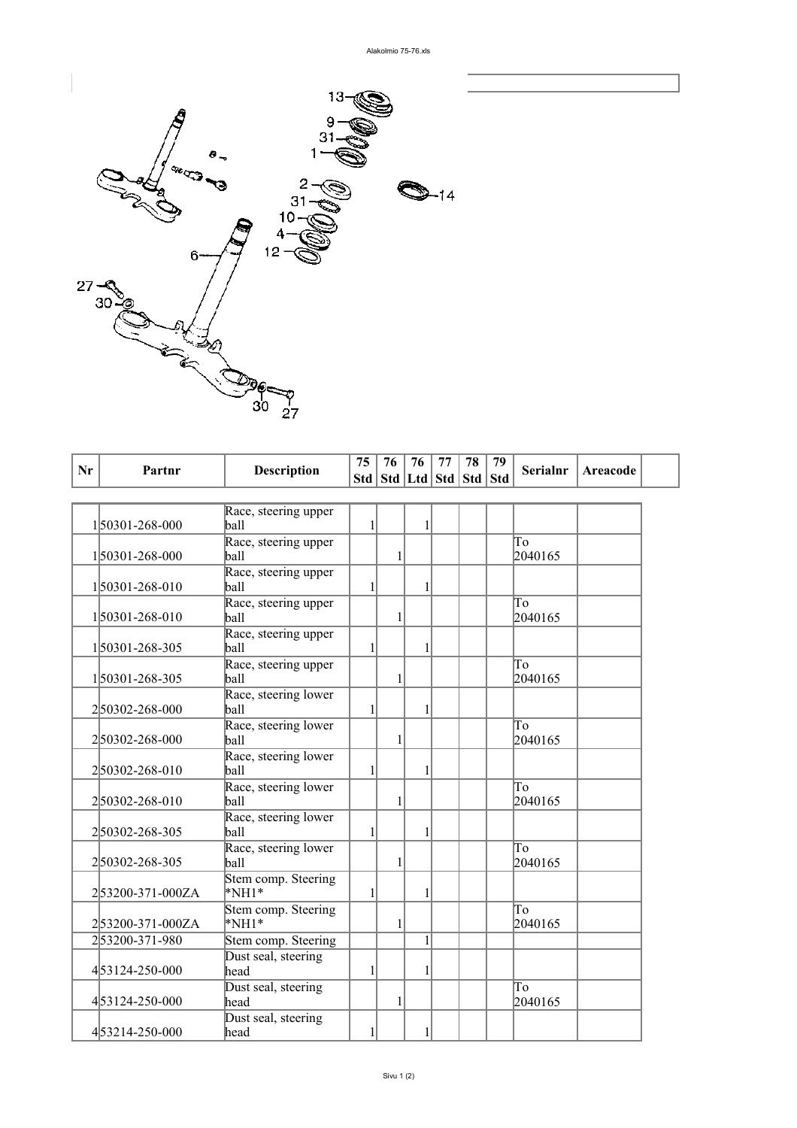

| Nr | Partnr           | <b>Description</b>                 | 75           | 76 | 76 | 77<br>Std   Std   Ltd   Std   Std   Std | 78 | 79 | <b>Serialnr</b>                   | Areacode |
|----|------------------|------------------------------------|--------------|----|----|-----------------------------------------|----|----|-----------------------------------|----------|
|    |                  |                                    |              |    |    |                                         |    |    |                                   |          |
|    | 150301-268-000   | Race, steering upper<br>ball       | 1            |    | 1  |                                         |    |    |                                   |          |
|    | 150301-268-000   | Race, steering upper<br>ball       |              |    |    |                                         |    |    | To<br>2040165                     |          |
|    | 150301-268-010   | Race, steering upper<br>ball       | $\mathbf{1}$ |    | 1  |                                         |    |    |                                   |          |
|    | 150301-268-010   | Race, steering upper<br>ball       |              |    |    |                                         |    |    | To<br>2040165                     |          |
|    | 150301-268-305   | Race, steering upper<br>ball       | 1            |    | 1  |                                         |    |    |                                   |          |
|    | 150301-268-305   | Race, steering upper<br>ball       |              |    |    |                                         |    |    | To<br>2040165                     |          |
|    | 250302-268-000   | Race, steering lower<br>ball       | 1            |    | 1  |                                         |    |    |                                   |          |
|    | 250302-268-000   | Race, steering lower<br>ball       |              |    |    |                                         |    |    | $\overline{\text{To}}$<br>2040165 |          |
|    | 250302-268-010   | Race, steering lower<br>ball       | 1            |    | 1  |                                         |    |    |                                   |          |
|    | 250302-268-010   | Race, steering lower<br>ball       |              |    |    |                                         |    |    | $\overline{\text{To}}$<br>2040165 |          |
|    | 250302-268-305   | Race, steering lower<br>ball       | 1            |    | 1  |                                         |    |    |                                   |          |
|    | 250302-268-305   | Race, steering lower<br>ball       |              |    |    |                                         |    |    | To<br>2040165                     |          |
|    | 253200-371-000ZA | Stem comp. Steering<br>$*$ NH1 $*$ | 1            |    | 1  |                                         |    |    |                                   |          |
|    | 253200-371-000ZA | Stem comp. Steering<br>$*NH1*$     |              | 1  |    |                                         |    |    | To<br>2040165                     |          |
|    | 253200-371-980   | Stem comp. Steering                |              |    | 1  |                                         |    |    |                                   |          |
|    | 453124-250-000   | Dust seal, steering<br>head        | 1            |    | 1  |                                         |    |    |                                   |          |
|    | 453124-250-000   | Dust seal, steering<br>head        |              |    |    |                                         |    |    | To<br>2040165                     |          |
|    | 453214-250-000   | Dust seal, steering<br>head        | 1            |    | 1  |                                         |    |    |                                   |          |